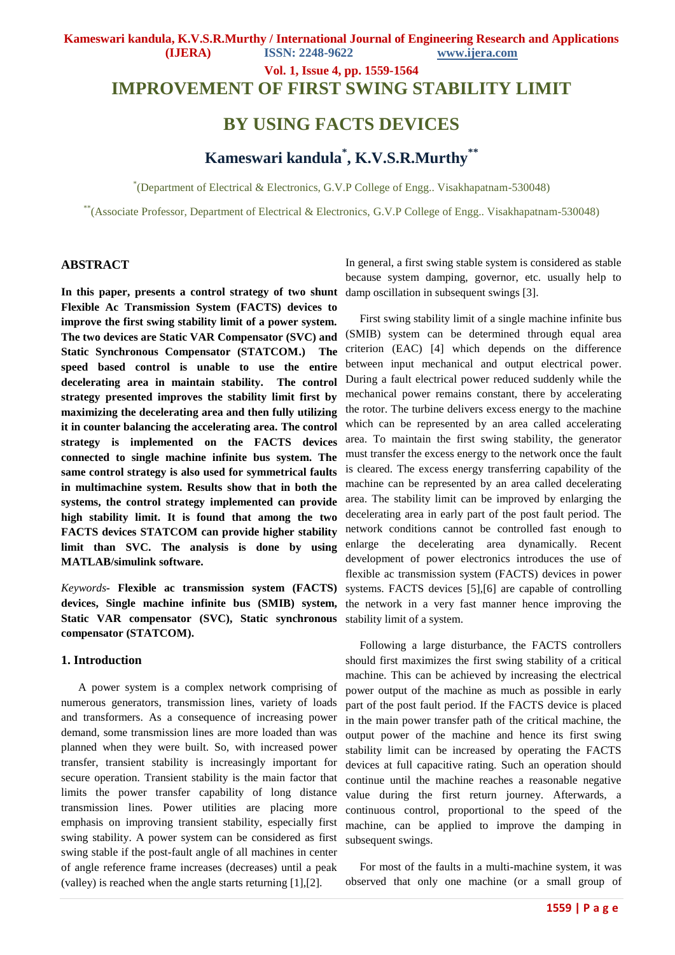**IMPROVEMENT OF FIRST SWING STABILITY LIMIT** 

# **BY USING FACTS DEVICES**

# **Kameswari kandula\* , K.V.S.R.Murthy\*\***

\* (Department of Electrical & Electronics, G.V.P College of Engg.. Visakhapatnam-530048)

\*\*(Associate Professor, Department of Electrical & Electronics, G.V.P College of Engg.. Visakhapatnam-530048)

#### **ABSTRACT**

**In this paper, presents a control strategy of two shunt Flexible Ac Transmission System (FACTS) devices to improve the first swing stability limit of a power system. The two devices are Static VAR Compensator (SVC) and Static Synchronous Compensator (STATCOM.) The speed based control is unable to use the entire decelerating area in maintain stability. The control strategy presented improves the stability limit first by maximizing the decelerating area and then fully utilizing it in counter balancing the accelerating area. The control strategy is implemented on the FACTS devices connected to single machine infinite bus system. The same control strategy is also used for symmetrical faults in multimachine system. Results show that in both the systems, the control strategy implemented can provide high stability limit. It is found that among the two FACTS devices STATCOM can provide higher stability limit than SVC. The analysis is done by using MATLAB/simulink software.**

*Keywords-* **Flexible ac transmission system (FACTS) devices, Single machine infinite bus (SMIB) system, Static VAR compensator (SVC), Static synchronous compensator (STATCOM).**

#### **1. Introduction**

 A power system is a complex network comprising of numerous generators, transmission lines, variety of loads and transformers. As a consequence of increasing power demand, some transmission lines are more loaded than was planned when they were built. So, with increased power transfer, transient stability is increasingly important for secure operation. Transient stability is the main factor that limits the power transfer capability of long distance transmission lines. Power utilities are placing more emphasis on improving transient stability, especially first swing stability. A power system can be considered as first swing stable if the post-fault angle of all machines in center of angle reference frame increases (decreases) until a peak (valley) is reached when the angle starts returning [1],[2].

In general, a first swing stable system is considered as stable because system damping, governor, etc. usually help to damp oscillation in subsequent swings [3].

 First swing stability limit of a single machine infinite bus (SMIB) system can be determined through equal area criterion (EAC) [4] which depends on the difference between input mechanical and output electrical power. During a fault electrical power reduced suddenly while the mechanical power remains constant, there by accelerating the rotor. The turbine delivers excess energy to the machine which can be represented by an area called accelerating area. To maintain the first swing stability, the generator must transfer the excess energy to the network once the fault is cleared. The excess energy transferring capability of the machine can be represented by an area called decelerating area. The stability limit can be improved by enlarging the decelerating area in early part of the post fault period. The network conditions cannot be controlled fast enough to enlarge the decelerating area dynamically. Recent development of power electronics introduces the use of flexible ac transmission system (FACTS) devices in power systems. FACTS devices [5],[6] are capable of controlling the network in a very fast manner hence improving the stability limit of a system.

 Following a large disturbance, the FACTS controllers should first maximizes the first swing stability of a critical machine. This can be achieved by increasing the electrical power output of the machine as much as possible in early part of the post fault period. If the FACTS device is placed in the main power transfer path of the critical machine, the output power of the machine and hence its first swing stability limit can be increased by operating the FACTS devices at full capacitive rating. Such an operation should continue until the machine reaches a reasonable negative value during the first return journey. Afterwards, a continuous control, proportional to the speed of the machine, can be applied to improve the damping in subsequent swings.

 For most of the faults in a multi-machine system, it was observed that only one machine (or a small group of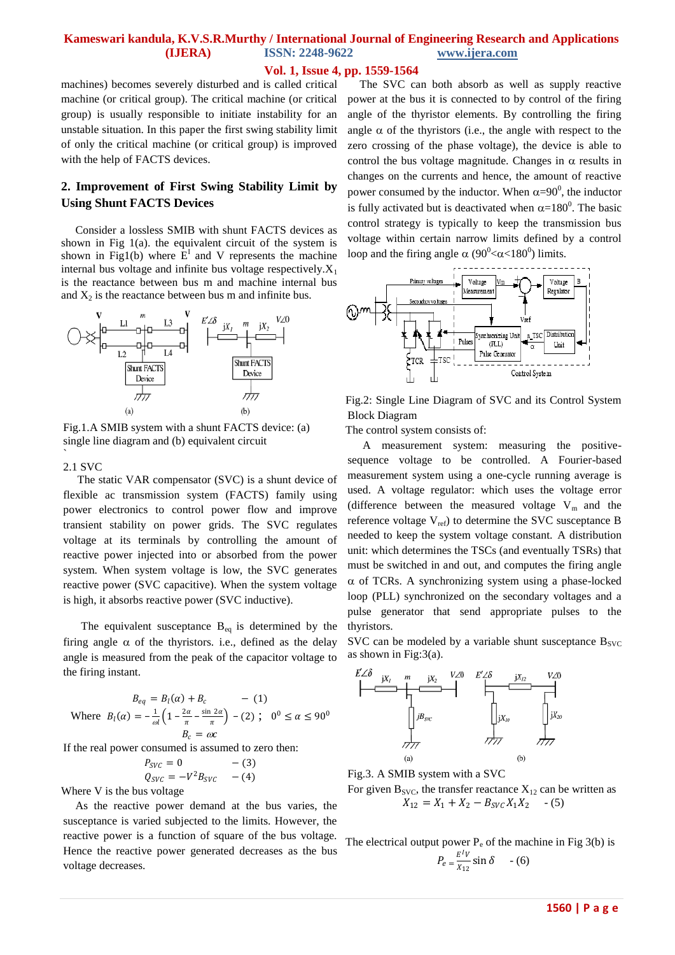#### **Vol. 1, Issue 4, pp. 1559-1564**

machines) becomes severely disturbed and is called critical machine (or critical group). The critical machine (or critical group) is usually responsible to initiate instability for an unstable situation. In this paper the first swing stability limit of only the critical machine (or critical group) is improved with the help of FACTS devices.

# **2. Improvement of First Swing Stability Limit by Using Shunt FACTS Devices**

 Consider a lossless SMIB with shunt FACTS devices as shown in Fig 1(a). the equivalent circuit of the system is shown in Fig1(b) where  $E<sup>I</sup>$  and V represents the machine internal bus voltage and infinite bus voltage respectively. $X_1$ is the reactance between bus m and machine internal bus and  $X_2$  is the reactance between bus m and infinite bus.



Fig.1.A SMIB system with a shunt FACTS device: (a) single line diagram and (b) equivalent circuit

#### 2.1 SVC

`

 The static VAR compensator (SVC) is a shunt device of flexible ac transmission system (FACTS) family using power electronics to control power flow and improve transient stability on power grids. The SVC regulates voltage at its terminals by controlling the amount of reactive power injected into or absorbed from the power system. When system voltage is low, the SVC generates reactive power (SVC capacitive). When the system voltage is high, it absorbs reactive power (SVC inductive).

The equivalent susceptance  $B_{eq}$  is determined by the firing angle  $\alpha$  of the thyristors. i.e., defined as the delay angle is measured from the peak of the capacitor voltage to the firing instant.

$$
B_{eq} = B_l(\alpha) + B_c \qquad - (1)
$$
  
Where  $B_l(\alpha) = -\frac{1}{\omega l} \left( 1 - \frac{2\alpha}{\pi} - \frac{\sin 2\alpha}{\pi} \right) - (2); \quad 0^0 \le \alpha \le 90^0$   
 $B_c = \omega c$ 

If the real power consumed is assumed to zero then:

$$
P_{SVC} = 0 \t - (3)
$$
  

$$
Q_{SVC} = -V^2 B_{SVC} \t - (4)
$$

Where V is the bus voltage

 As the reactive power demand at the bus varies, the susceptance is varied subjected to the limits. However, the reactive power is a function of square of the bus voltage. Hence the reactive power generated decreases as the bus voltage decreases.

 The SVC can both absorb as well as supply reactive power at the bus it is connected to by control of the firing angle of the thyristor elements. By controlling the firing angle  $\alpha$  of the thyristors (i.e., the angle with respect to the zero crossing of the phase voltage), the device is able to control the bus voltage magnitude. Changes in  $\alpha$  results in changes on the currents and hence, the amount of reactive power consumed by the inductor. When  $\alpha = 90^0$ , the inductor is fully activated but is deactivated when  $\alpha=180^\circ$ . The basic control strategy is typically to keep the transmission bus voltage within certain narrow limits defined by a control loop and the firing angle  $\alpha$  (90<sup>0</sup> <  $\alpha$  < 180<sup>0</sup>) limits.



Fig.2: Single Line Diagram of SVC and its Control System Block Diagram

The control system consists of:

 A measurement system: measuring the positivesequence voltage to be controlled. A Fourier-based measurement system using a one-cycle running average is used. A voltage regulator: which uses the voltage error (difference between the measured voltage  $V_m$  and the reference voltage  $V_{ref}$ ) to determine the SVC susceptance B needed to keep the system voltage constant. A distribution unit: which determines the TSCs (and eventually TSRs) that must be switched in and out, and computes the firing angle  $\alpha$  of TCRs. A synchronizing system using a phase-locked loop (PLL) synchronized on the secondary voltages and a pulse generator that send appropriate pulses to the thyristors.

SVC can be modeled by a variable shunt susceptance  $B_{SVC}$ as shown in Fig: $3(a)$ .



Fig.3. A SMIB system with a SVC

For given  $B_{SVC}$ , the transfer reactance  $X_{12}$  can be written as  $X_{12} = X_1 + X_2 - B_{SVC} X_1 X_2$  - (5)

The electrical output power  $P_e$  of the machine in Fig 3(b) is  $P_e=\frac{E^IV}{Y_{12}}$  $\frac{E V}{X_{12}} \sin \delta$  - (6)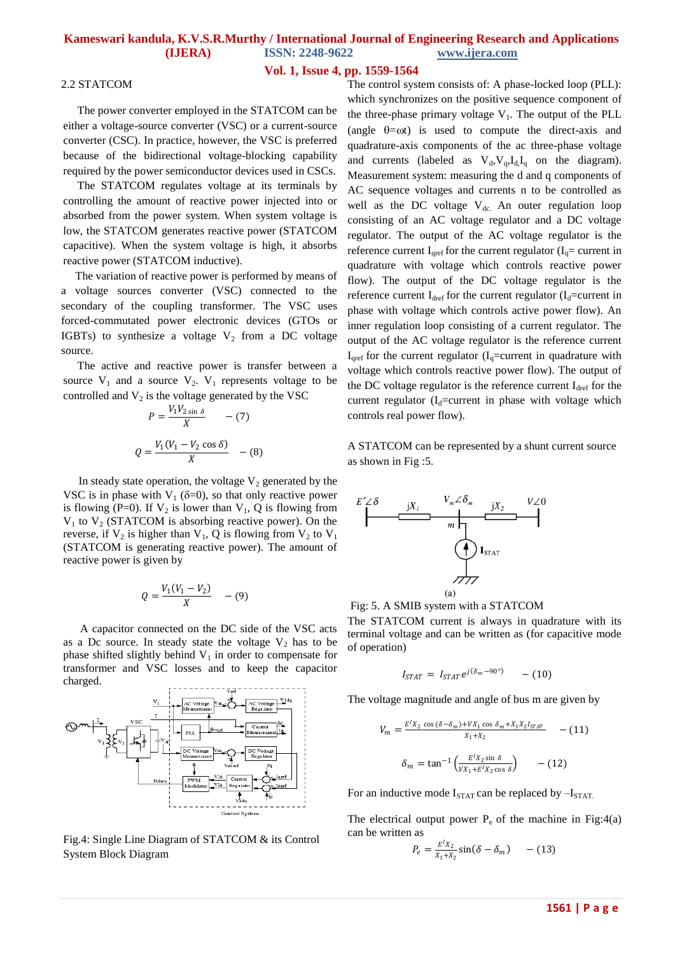#### **Vol. 1, Issue 4, pp. 1559-1564**

#### 2.2 STATCOM

 The power converter employed in the STATCOM can be either a voltage-source converter (VSC) or a current-source converter (CSC). In practice, however, the VSC is preferred because of the bidirectional voltage-blocking capability required by the power semiconductor devices used in CSCs.

 The STATCOM regulates voltage at its terminals by controlling the amount of reactive power injected into or absorbed from the power system. When system voltage is low, the STATCOM generates reactive power (STATCOM capacitive). When the system voltage is high, it absorbs reactive power (STATCOM inductive).

 The variation of reactive power is performed by means of a voltage sources converter (VSC) connected to the secondary of the coupling transformer. The VSC uses forced-commutated power electronic devices (GTOs or IGBTs) to synthesize a voltage  $V_2$  from a DC voltage source.

 The active and reactive power is transfer between a source  $V_1$  and a source  $V_2$ .  $V_1$  represents voltage to be controlled and  $V_2$  is the voltage generated by the VSC

$$
P = \frac{V_1 V_{2 \sin \delta}}{X} \qquad -(7)
$$

$$
Q = \frac{V_1 (V_1 - V_2 \cos \delta)}{X} \qquad -(8)
$$

In steady state operation, the voltage  $V_2$  generated by the VSC is in phase with  $V_1$  ( $\delta=0$ ), so that only reactive power is flowing (P=0). If  $V_2$  is lower than  $V_1$ , Q is flowing from  $V_1$  to  $V_2$  (STATCOM is absorbing reactive power). On the reverse, if  $V_2$  is higher than  $V_1$ , Q is flowing from  $V_2$  to  $V_1$ (STATCOM is generating reactive power). The amount of reactive power is given by

$$
Q = \frac{V_1(V_1 - V_2)}{X} \quad - (9)
$$

 A capacitor connected on the DC side of the VSC acts as a Dc source. In steady state the voltage  $V_2$  has to be phase shifted slightly behind  $V_1$  in order to compensate for transformer and VSC losses and to keep the capacitor charged.



Fig.4: Single Line Diagram of STATCOM & its Control System Block Diagram

The control system consists of: A phase-locked loop (PLL): which synchronizes on the positive sequence component of the three-phase primary voltage  $V_1$ . The output of the PLL (angle  $\theta = \omega t$ ) is used to compute the direct-axis and quadrature-axis components of the ac three-phase voltage and currents (labeled as  $V_d$ ,  $V_q$ ,  $I_d$ ,  $I_q$  on the diagram). Measurement system: measuring the d and q components of AC sequence voltages and currents n to be controlled as well as the DC voltage  $V_{dc}$ . An outer regulation loop consisting of an AC voltage regulator and a DC voltage regulator. The output of the AC voltage regulator is the reference current  $I_{\text{Qref}}$  for the current regulator ( $I_{\text{Q}}$  = current in quadrature with voltage which controls reactive power flow). The output of the DC voltage regulator is the reference current  $I_{\text{dref}}$  for the current regulator ( $I_{\text{d}}$ =current in phase with voltage which controls active power flow). An inner regulation loop consisting of a current regulator. The output of the AC voltage regulator is the reference current  $I_{\text{cref}}$  for the current regulator ( $I_{q}$ =current in quadrature with voltage which controls reactive power flow). The output of the DC voltage regulator is the reference current  $I_{\text{dref}}$  for the current regulator ( $I_d$ =current in phase with voltage which controls real power flow).

A STATCOM can be represented by a shunt current source as shown in Fig :5.





The STATCOM current is always in quadrature with its terminal voltage and can be written as (for capacitive mode of operation)

$$
I_{STAT} = I_{STAT} e^{j(\delta_m - 90^\circ)} - (10)
$$

The voltage magnitude and angle of bus m are given by

$$
V_m = \frac{E^l X_2 \cos(\delta - \delta_m) + V X_1 \cos \delta_m + X_1 X_2 I_{STAT}}{X_1 + X_2} \qquad (11)
$$

$$
\delta_m = \tan^{-1} \left( \frac{E^l X_2 \sin \delta}{V X_1 + E^l X_2 \cos \delta} \right) \qquad (12)
$$

For an inductive mode  $I_{STAT}$  can be replaced by  $-I_{STAT}$ .

The electrical output power  $P_e$  of the machine in Fig:4(a) can be written as

$$
P_e = \frac{E^t X_2}{X_1 + X_2} \sin(\delta - \delta_m) \qquad -(13)
$$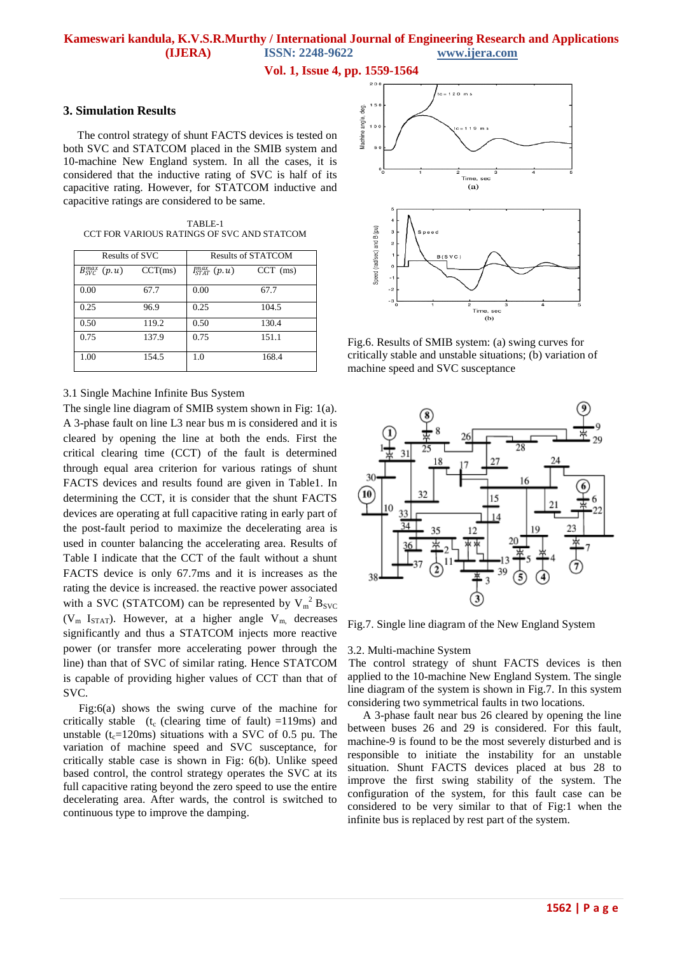**Vol. 1, Issue 4, pp. 1559-1564**

#### **3. Simulation Results**

 The control strategy of shunt FACTS devices is tested on both SVC and STATCOM placed in the SMIB system and 10-machine New England system. In all the cases, it is considered that the inductive rating of SVC is half of its capacitive rating. However, for STATCOM inductive and capacitive ratings are considered to be same.

 TABLE-1 CCT FOR VARIOUS RATINGS OF SVC AND STATCOM

| Results of SVC                  |         | <b>Results of STATCOM</b> |            |
|---------------------------------|---------|---------------------------|------------|
| $B_{\text{SVC}}^{max}$ $(p, u)$ | CCT(ms) | $I_{STAT}^{max}(p,u)$     | $CCT$ (ms) |
| 0.00                            | 67.7    | 0.00                      | 67.7       |
| 0.25                            | 96.9    | 0.25                      | 104.5      |
| 0.50                            | 119.2   | 0.50                      | 130.4      |
| 0.75                            | 137.9   | 0.75                      | 151.1      |
| 1.00                            | 154.5   | 1.0                       | 168.4      |

#### 3.1 Single Machine Infinite Bus System

The single line diagram of SMIB system shown in Fig: 1(a). A 3-phase fault on line L3 near bus m is considered and it is cleared by opening the line at both the ends. First the critical clearing time (CCT) of the fault is determined through equal area criterion for various ratings of shunt FACTS devices and results found are given in Table1. In determining the CCT, it is consider that the shunt FACTS devices are operating at full capacitive rating in early part of the post-fault period to maximize the decelerating area is used in counter balancing the accelerating area. Results of Table I indicate that the CCT of the fault without a shunt FACTS device is only 67.7ms and it is increases as the rating the device is increased. the reactive power associated with a SVC (STATCOM) can be represented by  $V_m^2 B_{SVC}$  $(V_m I_{STAT})$ . However, at a higher angle  $V_m$  decreases significantly and thus a STATCOM injects more reactive power (or transfer more accelerating power through the line) than that of SVC of similar rating. Hence STATCOM is capable of providing higher values of CCT than that of SVC.

 Fig:6(a) shows the swing curve of the machine for critically stable (t<sub>c</sub> (clearing time of fault) =119ms) and unstable ( $t_c$ =120ms) situations with a SVC of 0.5 pu. The variation of machine speed and SVC susceptance, for critically stable case is shown in Fig: 6(b). Unlike speed based control, the control strategy operates the SVC at its full capacitive rating beyond the zero speed to use the entire decelerating area. After wards, the control is switched to continuous type to improve the damping.



Fig.6. Results of SMIB system: (a) swing curves for critically stable and unstable situations; (b) variation of machine speed and SVC susceptance



Fig.7. Single line diagram of the New England System

#### 3.2. Multi-machine System

 The control strategy of shunt FACTS devices is then applied to the 10-machine New England System. The single line diagram of the system is shown in Fig.7. In this system considering two symmetrical faults in two locations.

 A 3-phase fault near bus 26 cleared by opening the line between buses 26 and 29 is considered. For this fault, machine-9 is found to be the most severely disturbed and is responsible to initiate the instability for an unstable situation. Shunt FACTS devices placed at bus 28 to improve the first swing stability of the system. The configuration of the system, for this fault case can be considered to be very similar to that of Fig:1 when the infinite bus is replaced by rest part of the system.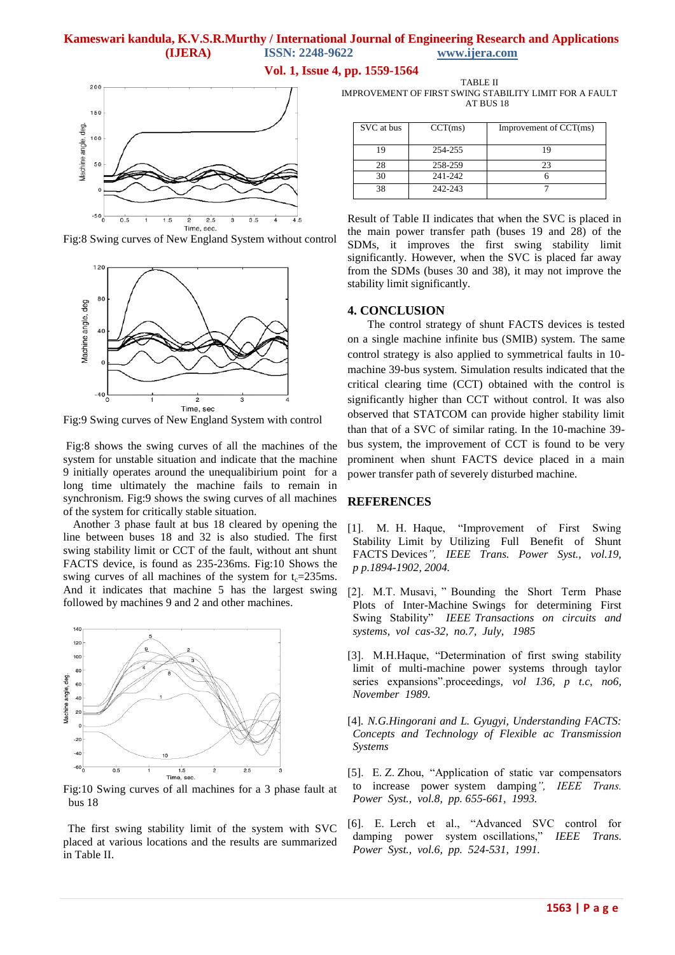**Vol. 1, Issue 4, pp. 1559-1564**



Fig:8 Swing curves of New England System without control



Fig:9 Swing curves of New England System with control

Fig:8 shows the swing curves of all the machines of the system for unstable situation and indicate that the machine 9 initially operates around the unequalibirium point for a long time ultimately the machine fails to remain in synchronism. Fig:9 shows the swing curves of all machines of the system for critically stable situation.

 Another 3 phase fault at bus 18 cleared by opening the line between buses 18 and 32 is also studied. The first swing stability limit or CCT of the fault, without ant shunt FACTS device, is found as 235-236ms. Fig:10 Shows the swing curves of all machines of the system for  $t_c=235$ ms. And it indicates that machine 5 has the largest swing followed by machines 9 and 2 and other machines.



Fig:10 Swing curves of all machines for a 3 phase fault at bus 18

 The first swing stability limit of the system with SVC placed at various locations and the results are summarized in Table II.

TABLE II IMPROVEMENT OF FIRST SWING STABILITY LIMIT FOR A FAULT AT BUS 18

| SVC at bus | CCT(ms) | Improvement of CCT(ms) |
|------------|---------|------------------------|
| 19         | 254-255 |                        |
| 28         | 258-259 | 23                     |
| 30         | 241-242 |                        |
| 38         | 242-243 |                        |

Result of Table II indicates that when the SVC is placed in the main power transfer path (buses 19 and 28) of the SDMs, it improves the first swing stability limit significantly. However, when the SVC is placed far away from the SDMs (buses 30 and 38), it may not improve the stability limit significantly.

#### **4. CONCLUSION**

 The control strategy of shunt FACTS devices is tested on a single machine infinite bus (SMIB) system. The same control strategy is also applied to symmetrical faults in 10 machine 39-bus system. Simulation results indicated that the critical clearing time (CCT) obtained with the control is significantly higher than CCT without control. It was also observed that STATCOM can provide higher stability limit than that of a SVC of similar rating. In the 10-machine 39 bus system, the improvement of CCT is found to be very prominent when shunt FACTS device placed in a main power transfer path of severely disturbed machine.

#### **REFERENCES**

- [1]. M. H. Haque, "Improvement of First Swing Stability Limit by Utilizing Full Benefit of Shunt FACTS Devices*", IEEE Trans. Power Syst., vol.19, p p.1894-1902, 2004.*
- [2]. M.T. Musavi, "Bounding the Short Term Phase Plots of Inter-Machine Swings for determining First Swing Stability" *IEEE Transactions on circuits and systems, vol cas-32, no.7, July, 1985*
- [3]. M.H.Haque, "Determination of first swing stability limit of multi-machine power systems through taylor series expansions".proceedings, vol 136, p t.c, no6, *November 1989.*
- [4]*. N.G.Hingorani and L. Gyugyi, Understanding FACTS: Concepts and Technology of Flexible ac Transmission Systems*

[5]. E. Z. Zhou, "Application of static var compensators" to increase power system damping*", IEEE Trans. Power Syst., vol.8, pp. 655-661, 1993.*

[6]. E. Lerch et al., "Advanced SVC control for damping power system oscillations," *IEEE Trans. Power Syst., vol.6, pp. 524-531, 1991.*